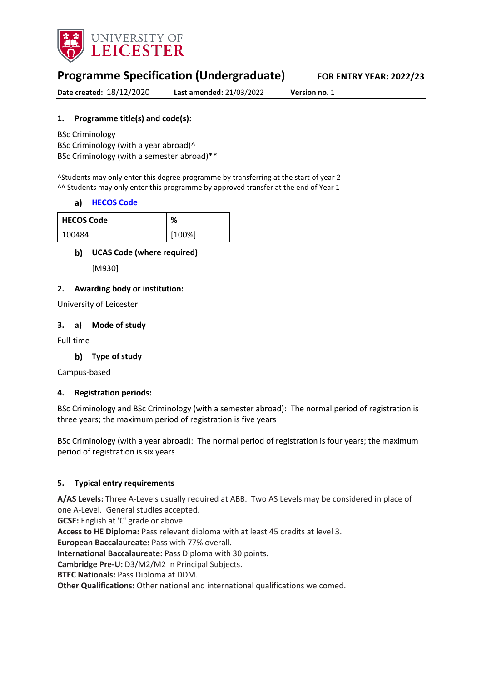

# **Programme Specification (Undergraduate) FOR ENTRY YEAR: 2022/23**

**Date created:** 18/12/2020 **Last amended:** 21/03/2022 **Version no.** 1

#### **1. Programme title(s) and code(s):**

BSc Criminology BSc Criminology (with a year abroad)^ BSc Criminology (with a semester abroad)\*\*

^Students may only enter this degree programme by transferring at the start of year 2 ^^ Students may only enter this programme by approved transfer at the end of Year 1

#### **[HECOS Code](https://www.hesa.ac.uk/innovation/hecos)**

| <b>HECOS Code</b> | ℅      |
|-------------------|--------|
| 100484            | [100%] |

#### **UCAS Code (where required)**

[M930]

#### **2. Awarding body or institution:**

University of Leicester

#### **3. a) Mode of study**

Full-time

### **Type of study**

Campus-based

#### **4. Registration periods:**

BSc Criminology and BSc Criminology (with a semester abroad): The normal period of registration is three years; the maximum period of registration is five years

BSc Criminology (with a year abroad): The normal period of registration is four years; the maximum period of registration is six years

#### **5. Typical entry requirements**

**A/AS Levels:** Three A-Levels usually required at ABB. Two AS Levels may be considered in place of one A-Level. General studies accepted.

**GCSE:** English at 'C' grade or above.

**Access to HE Diploma:** Pass relevant diploma with at least 45 credits at level 3.

**European Baccalaureate:** Pass with 77% overall.

**International Baccalaureate:** Pass Diploma with 30 points.

**Cambridge Pre-U:** D3/M2/M2 in Principal Subjects.

**BTEC Nationals:** Pass Diploma at DDM.

**Other Qualifications:** Other national and international qualifications welcomed.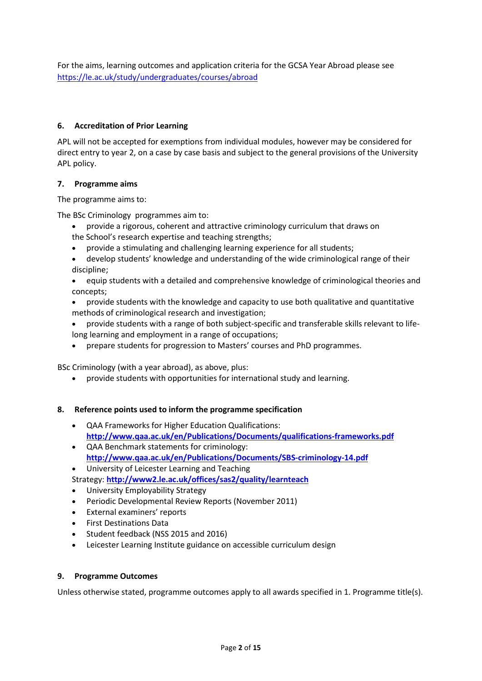For the aims, learning outcomes and application criteria for the GCSA Year Abroad please see <https://le.ac.uk/study/undergraduates/courses/abroad>

#### **6. Accreditation of Prior Learning**

APL will not be accepted for exemptions from individual modules, however may be considered for direct entry to year 2, on a case by case basis and subject to the general provisions of the University APL policy.

#### **7. Programme aims**

The programme aims to:

The BSc Criminology programmes aim to:

- provide a rigorous, coherent and attractive criminology curriculum that draws on
- the School's research expertise and teaching strengths;
- provide a stimulating and challenging learning experience for all students;
- develop students' knowledge and understanding of the wide criminological range of their discipline;

• equip students with a detailed and comprehensive knowledge of criminological theories and concepts;

- provide students with the knowledge and capacity to use both qualitative and quantitative methods of criminological research and investigation;
- provide students with a range of both subject-specific and transferable skills relevant to lifelong learning and employment in a range of occupations;
- prepare students for progression to Masters' courses and PhD programmes.

BSc Criminology (with a year abroad), as above, plus:

• provide students with opportunities for international study and learning.

#### **8. Reference points used to inform the programme specification**

- QAA Frameworks for Higher Education Qualifications: **<http://www.qaa.ac.uk/en/Publications/Documents/qualifications-frameworks.pdf>**
- QAA Benchmark statements for criminology: **<http://www.qaa.ac.uk/en/Publications/Documents/SBS-criminology-14.pdf>**
- University of Leicester Learning and Teaching
- Strategy: **<http://www2.le.ac.uk/offices/sas2/quality/learnteach>**
- University Employability Strategy
- Periodic Developmental Review Reports (November 2011)
- External examiners' reports
- First Destinations Data
- Student feedback (NSS 2015 and 2016)
- Leicester Learning Institute guidance on accessible curriculum design

#### **9. Programme Outcomes**

Unless otherwise stated, programme outcomes apply to all awards specified in 1. Programme title(s).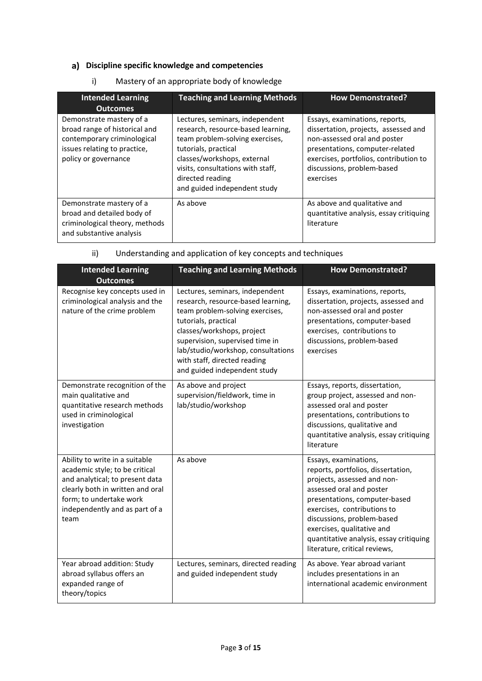# **Discipline specific knowledge and competencies**

| <b>Intended Learning</b><br><b>Outcomes</b>                                                                                                      | <b>Teaching and Learning Methods</b>                                                                                                                                                                                                                     | <b>How Demonstrated?</b>                                                                                                                                                                                                       |
|--------------------------------------------------------------------------------------------------------------------------------------------------|----------------------------------------------------------------------------------------------------------------------------------------------------------------------------------------------------------------------------------------------------------|--------------------------------------------------------------------------------------------------------------------------------------------------------------------------------------------------------------------------------|
| Demonstrate mastery of a<br>broad range of historical and<br>contemporary criminological<br>issues relating to practice,<br>policy or governance | Lectures, seminars, independent<br>research, resource-based learning,<br>team problem-solving exercises,<br>tutorials, practical<br>classes/workshops, external<br>visits, consultations with staff,<br>directed reading<br>and guided independent study | Essays, examinations, reports,<br>dissertation, projects, assessed and<br>non-assessed oral and poster<br>presentations, computer-related<br>exercises, portfolios, contribution to<br>discussions, problem-based<br>exercises |
| Demonstrate mastery of a<br>broad and detailed body of<br>criminological theory, methods<br>and substantive analysis                             | As above                                                                                                                                                                                                                                                 | As above and qualitative and<br>quantitative analysis, essay critiquing<br>literature                                                                                                                                          |

i) Mastery of an appropriate body of knowledge

| ii) |  | Understanding and application of key concepts and techniques |
|-----|--|--------------------------------------------------------------|
|     |  |                                                              |

| <b>Intended Learning</b><br><b>Outcomes</b>                                                                                                                                                                  | <b>Teaching and Learning Methods</b>                                                                                                                                                                                                                                                                    | <b>How Demonstrated?</b>                                                                                                                                                                                                                                                                                                       |
|--------------------------------------------------------------------------------------------------------------------------------------------------------------------------------------------------------------|---------------------------------------------------------------------------------------------------------------------------------------------------------------------------------------------------------------------------------------------------------------------------------------------------------|--------------------------------------------------------------------------------------------------------------------------------------------------------------------------------------------------------------------------------------------------------------------------------------------------------------------------------|
| Recognise key concepts used in<br>criminological analysis and the<br>nature of the crime problem                                                                                                             | Lectures, seminars, independent<br>research, resource-based learning,<br>team problem-solving exercises,<br>tutorials, practical<br>classes/workshops, project<br>supervision, supervised time in<br>lab/studio/workshop, consultations<br>with staff, directed reading<br>and guided independent study | Essays, examinations, reports,<br>dissertation, projects, assessed and<br>non-assessed oral and poster<br>presentations, computer-based<br>exercises, contributions to<br>discussions, problem-based<br>exercises                                                                                                              |
| Demonstrate recognition of the<br>main qualitative and<br>quantitative research methods<br>used in criminological<br>investigation                                                                           | As above and project<br>supervision/fieldwork, time in<br>lab/studio/workshop                                                                                                                                                                                                                           | Essays, reports, dissertation,<br>group project, assessed and non-<br>assessed oral and poster<br>presentations, contributions to<br>discussions, qualitative and<br>quantitative analysis, essay critiquing<br>literature                                                                                                     |
| Ability to write in a suitable<br>academic style; to be critical<br>and analytical; to present data<br>clearly both in written and oral<br>form; to undertake work<br>independently and as part of a<br>team | As above                                                                                                                                                                                                                                                                                                | Essays, examinations,<br>reports, portfolios, dissertation,<br>projects, assessed and non-<br>assessed oral and poster<br>presentations, computer-based<br>exercises, contributions to<br>discussions, problem-based<br>exercises, qualitative and<br>quantitative analysis, essay critiquing<br>literature, critical reviews, |
| Year abroad addition: Study<br>abroad syllabus offers an<br>expanded range of<br>theory/topics                                                                                                               | Lectures, seminars, directed reading<br>and guided independent study                                                                                                                                                                                                                                    | As above. Year abroad variant<br>includes presentations in an<br>international academic environment                                                                                                                                                                                                                            |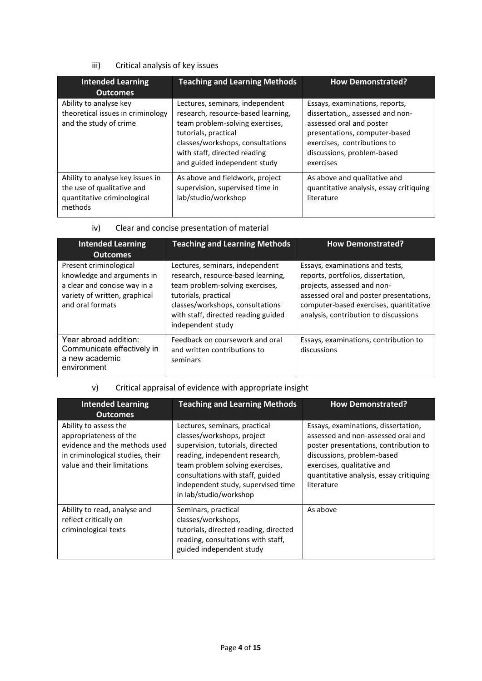# iii) Critical analysis of key issues

| <b>Intended Learning</b><br><b>Outcomes</b>                                                              | <b>Teaching and Learning Methods</b>                                                                                                                                                                                                 | <b>How Demonstrated?</b>                                                                                                                                                                                  |
|----------------------------------------------------------------------------------------------------------|--------------------------------------------------------------------------------------------------------------------------------------------------------------------------------------------------------------------------------------|-----------------------------------------------------------------------------------------------------------------------------------------------------------------------------------------------------------|
| Ability to analyse key<br>theoretical issues in criminology<br>and the study of crime                    | Lectures, seminars, independent<br>research, resource-based learning,<br>team problem-solving exercises,<br>tutorials, practical<br>classes/workshops, consultations<br>with staff, directed reading<br>and guided independent study | Essays, examinations, reports,<br>dissertation,, assessed and non-<br>assessed oral and poster<br>presentations, computer-based<br>exercises, contributions to<br>discussions, problem-based<br>exercises |
| Ability to analyse key issues in<br>the use of qualitative and<br>quantitative criminological<br>methods | As above and fieldwork, project<br>supervision, supervised time in<br>lab/studio/workshop                                                                                                                                            | As above and qualitative and<br>quantitative analysis, essay critiquing<br>literature                                                                                                                     |

#### iv) Clear and concise presentation of material

| <b>Intended Learning</b><br><b>Outcomes</b>                                                                                               | <b>Teaching and Learning Methods</b>                                                                                                                                                                                             | <b>How Demonstrated?</b>                                                                                                                                                                                                           |
|-------------------------------------------------------------------------------------------------------------------------------------------|----------------------------------------------------------------------------------------------------------------------------------------------------------------------------------------------------------------------------------|------------------------------------------------------------------------------------------------------------------------------------------------------------------------------------------------------------------------------------|
| Present criminological<br>knowledge and arguments in<br>a clear and concise way in a<br>variety of written, graphical<br>and oral formats | Lectures, seminars, independent<br>research, resource-based learning,<br>team problem-solving exercises,<br>tutorials, practical<br>classes/workshops, consultations<br>with staff, directed reading guided<br>independent study | Essays, examinations and tests,<br>reports, portfolios, dissertation,<br>projects, assessed and non-<br>assessed oral and poster presentations,<br>computer-based exercises, quantitative<br>analysis, contribution to discussions |
| Year abroad addition:<br>Communicate effectively in<br>a new academic<br>environment                                                      | Feedback on coursework and oral<br>and written contributions to<br>seminars                                                                                                                                                      | Essays, examinations, contribution to<br>discussions                                                                                                                                                                               |

# v) Critical appraisal of evidence with appropriate insight

| <b>Intended Learning</b><br><b>Outcomes</b>                                                                                                         | <b>Teaching and Learning Methods</b>                                                                                                                                                                                                                                     | <b>How Demonstrated?</b>                                                                                                                                                                                                                |
|-----------------------------------------------------------------------------------------------------------------------------------------------------|--------------------------------------------------------------------------------------------------------------------------------------------------------------------------------------------------------------------------------------------------------------------------|-----------------------------------------------------------------------------------------------------------------------------------------------------------------------------------------------------------------------------------------|
| Ability to assess the<br>appropriateness of the<br>evidence and the methods used<br>in criminological studies, their<br>value and their limitations | Lectures, seminars, practical<br>classes/workshops, project<br>supervision, tutorials, directed<br>reading, independent research,<br>team problem solving exercises,<br>consultations with staff, guided<br>independent study, supervised time<br>in lab/studio/workshop | Essays, examinations, dissertation,<br>assessed and non-assessed oral and<br>poster presentations, contribution to<br>discussions, problem-based<br>exercises, qualitative and<br>quantitative analysis, essay critiquing<br>literature |
| Ability to read, analyse and<br>reflect critically on<br>criminological texts                                                                       | Seminars, practical<br>classes/workshops,<br>tutorials, directed reading, directed<br>reading, consultations with staff,<br>guided independent study                                                                                                                     | As above                                                                                                                                                                                                                                |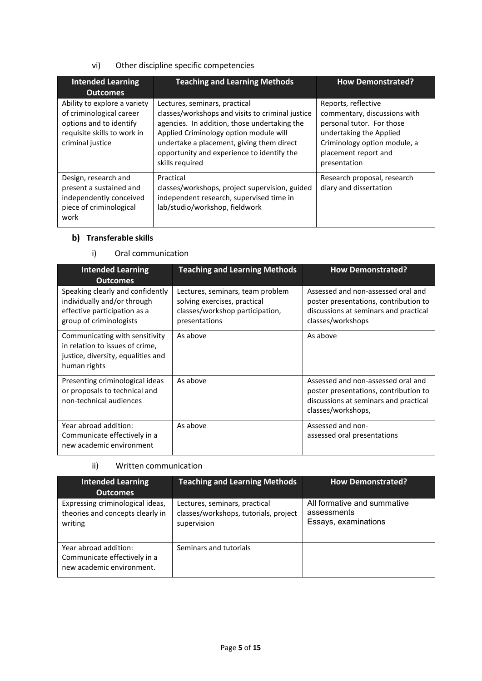# vi) Other discipline specific competencies

| <b>Intended Learning</b><br><b>Outcomes</b>                                                                                            | <b>Teaching and Learning Methods</b>                                                                                                                                                                                                                                                      | <b>How Demonstrated?</b>                                                                                                                                                            |
|----------------------------------------------------------------------------------------------------------------------------------------|-------------------------------------------------------------------------------------------------------------------------------------------------------------------------------------------------------------------------------------------------------------------------------------------|-------------------------------------------------------------------------------------------------------------------------------------------------------------------------------------|
| Ability to explore a variety<br>of criminological career<br>options and to identify<br>requisite skills to work in<br>criminal justice | Lectures, seminars, practical<br>classes/workshops and visits to criminal justice<br>agencies. In addition, those undertaking the<br>Applied Criminology option module will<br>undertake a placement, giving them direct<br>opportunity and experience to identify the<br>skills required | Reports, reflective<br>commentary, discussions with<br>personal tutor. For those<br>undertaking the Applied<br>Criminology option module, a<br>placement report and<br>presentation |
| Design, research and<br>present a sustained and<br>independently conceived<br>piece of criminological<br>work                          | Practical<br>classes/workshops, project supervision, guided<br>independent research, supervised time in<br>lab/studio/workshop, fieldwork                                                                                                                                                 | Research proposal, research<br>diary and dissertation                                                                                                                               |

# **b)** Transferable skills

# i) Oral communication

| <b>Intended Learning</b><br><b>Outcomes</b>                                                                                | <b>Teaching and Learning Methods</b>                                                                                 | <b>How Demonstrated?</b>                                                                                                                   |
|----------------------------------------------------------------------------------------------------------------------------|----------------------------------------------------------------------------------------------------------------------|--------------------------------------------------------------------------------------------------------------------------------------------|
| Speaking clearly and confidently<br>individually and/or through<br>effective participation as a<br>group of criminologists | Lectures, seminars, team problem<br>solving exercises, practical<br>classes/workshop participation,<br>presentations | Assessed and non-assessed oral and<br>poster presentations, contribution to<br>discussions at seminars and practical<br>classes/workshops  |
| Communicating with sensitivity<br>in relation to issues of crime.<br>justice, diversity, equalities and<br>human rights    | As above                                                                                                             | As above                                                                                                                                   |
| Presenting criminological ideas<br>or proposals to technical and<br>non-technical audiences                                | As above                                                                                                             | Assessed and non-assessed oral and<br>poster presentations, contribution to<br>discussions at seminars and practical<br>classes/workshops, |
| Year abroad addition:<br>Communicate effectively in a<br>new academic environment                                          | As above                                                                                                             | Assessed and non-<br>assessed oral presentations                                                                                           |

ii) Written communication

| <b>Intended Learning</b><br><b>Outcomes</b>                                        | <b>Teaching and Learning Methods</b>                                                  | <b>How Demonstrated?</b>                                           |
|------------------------------------------------------------------------------------|---------------------------------------------------------------------------------------|--------------------------------------------------------------------|
| Expressing criminological ideas,<br>theories and concepts clearly in<br>writing    | Lectures, seminars, practical<br>classes/workshops, tutorials, project<br>supervision | All formative and summative<br>assessments<br>Essays, examinations |
| Year abroad addition:<br>Communicate effectively in a<br>new academic environment. | Seminars and tutorials                                                                |                                                                    |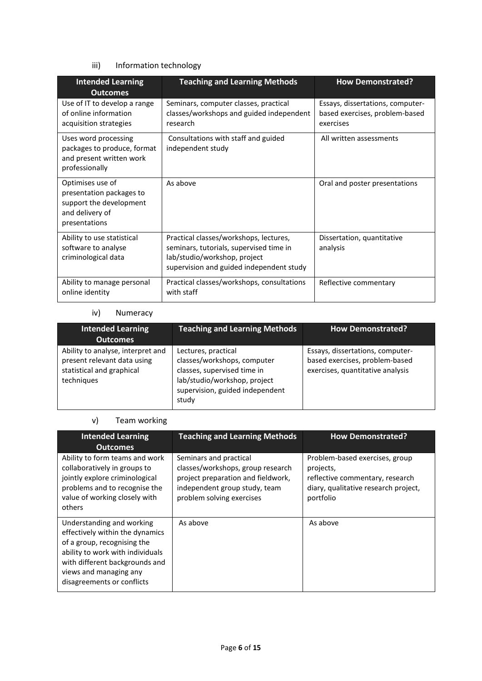## iii) Information technology

| <b>Intended Learning</b><br><b>Outcomes</b>                                                                 | <b>Teaching and Learning Methods</b>                                                                                                                          | <b>How Demonstrated?</b>                                                        |
|-------------------------------------------------------------------------------------------------------------|---------------------------------------------------------------------------------------------------------------------------------------------------------------|---------------------------------------------------------------------------------|
| Use of IT to develop a range<br>of online information<br>acquisition strategies                             | Seminars, computer classes, practical<br>classes/workshops and guided independent<br>research                                                                 | Essays, dissertations, computer-<br>based exercises, problem-based<br>exercises |
| Uses word processing<br>packages to produce, format<br>and present written work<br>professionally           | Consultations with staff and guided<br>independent study                                                                                                      | All written assessments                                                         |
| Optimises use of<br>presentation packages to<br>support the development<br>and delivery of<br>presentations | As above                                                                                                                                                      | Oral and poster presentations                                                   |
| Ability to use statistical<br>software to analyse<br>criminological data                                    | Practical classes/workshops, lectures,<br>seminars, tutorials, supervised time in<br>lab/studio/workshop, project<br>supervision and guided independent study | Dissertation, quantitative<br>analysis                                          |
| Ability to manage personal<br>online identity                                                               | Practical classes/workshops, consultations<br>with staff                                                                                                      | Reflective commentary                                                           |

#### iv) Numeracy

| <b>Intended Learning</b><br><b>Outcomes</b>                                                                 | <b>Teaching and Learning Methods</b>                                                                                                                          | <b>How Demonstrated?</b>                                                                               |
|-------------------------------------------------------------------------------------------------------------|---------------------------------------------------------------------------------------------------------------------------------------------------------------|--------------------------------------------------------------------------------------------------------|
| Ability to analyse, interpret and<br>present relevant data using<br>statistical and graphical<br>techniques | Lectures, practical<br>classes/workshops, computer<br>classes, supervised time in<br>lab/studio/workshop, project<br>supervision, guided independent<br>study | Essays, dissertations, computer-<br>based exercises, problem-based<br>exercises, quantitative analysis |

## v) Team working

| <b>Intended Learning</b><br><b>Outcomes</b>                                                                                                                                                                               | <b>Teaching and Learning Methods</b>                                                                                                                            | <b>How Demonstrated?</b>                                                                                                            |
|---------------------------------------------------------------------------------------------------------------------------------------------------------------------------------------------------------------------------|-----------------------------------------------------------------------------------------------------------------------------------------------------------------|-------------------------------------------------------------------------------------------------------------------------------------|
| Ability to form teams and work<br>collaboratively in groups to<br>jointly explore criminological<br>problems and to recognise the<br>value of working closely with<br>others                                              | Seminars and practical<br>classes/workshops, group research<br>project preparation and fieldwork,<br>independent group study, team<br>problem solving exercises | Problem-based exercises, group<br>projects,<br>reflective commentary, research<br>diary, qualitative research project,<br>portfolio |
| Understanding and working<br>effectively within the dynamics<br>of a group, recognising the<br>ability to work with individuals<br>with different backgrounds and<br>views and managing any<br>disagreements or conflicts | As above                                                                                                                                                        | As above                                                                                                                            |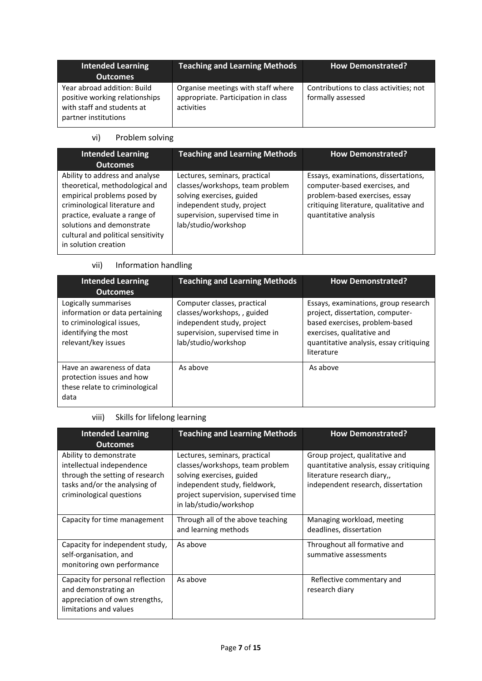| <b>Intended Learning</b><br><b>Outcomes</b>                                                                         | <b>Teaching and Learning Methods</b>                                                    | <b>How Demonstrated?</b>                                    |
|---------------------------------------------------------------------------------------------------------------------|-----------------------------------------------------------------------------------------|-------------------------------------------------------------|
| Year abroad addition: Build<br>positive working relationships<br>with staff and students at<br>partner institutions | Organise meetings with staff where<br>appropriate. Participation in class<br>activities | Contributions to class activities; not<br>formally assessed |

# vi) Problem solving

| <b>Intended Learning</b>                                                                                                                                                                                                                                      | <b>Teaching and Learning Methods</b>                                                                                                                                                  | <b>How Demonstrated?</b>                                                                                                                                                   |
|---------------------------------------------------------------------------------------------------------------------------------------------------------------------------------------------------------------------------------------------------------------|---------------------------------------------------------------------------------------------------------------------------------------------------------------------------------------|----------------------------------------------------------------------------------------------------------------------------------------------------------------------------|
| <b>Outcomes</b>                                                                                                                                                                                                                                               |                                                                                                                                                                                       |                                                                                                                                                                            |
| Ability to address and analyse<br>theoretical, methodological and<br>empirical problems posed by<br>criminological literature and<br>practice, evaluate a range of<br>solutions and demonstrate<br>cultural and political sensitivity<br>in solution creation | Lectures, seminars, practical<br>classes/workshops, team problem<br>solving exercises, guided<br>independent study, project<br>supervision, supervised time in<br>lab/studio/workshop | Essays, examinations, dissertations,<br>computer-based exercises, and<br>problem-based exercises, essay<br>critiquing literature, qualitative and<br>quantitative analysis |

# vii) Information handling

| <b>Intended Learning</b><br><b>Outcomes</b>                                                                                        | <b>Teaching and Learning Methods</b>                                                                                                              | <b>How Demonstrated?</b>                                                                                                                                                                          |
|------------------------------------------------------------------------------------------------------------------------------------|---------------------------------------------------------------------------------------------------------------------------------------------------|---------------------------------------------------------------------------------------------------------------------------------------------------------------------------------------------------|
| Logically summarises<br>information or data pertaining<br>to criminological issues,<br>identifying the most<br>relevant/key issues | Computer classes, practical<br>classes/workshops,, guided<br>independent study, project<br>supervision, supervised time in<br>lab/studio/workshop | Essays, examinations, group research<br>project, dissertation, computer-<br>based exercises, problem-based<br>exercises, qualitative and<br>quantitative analysis, essay critiquing<br>literature |
| Have an awareness of data<br>protection issues and how<br>these relate to criminological<br>data                                   | As above                                                                                                                                          | As above                                                                                                                                                                                          |

# viii) Skills for lifelong learning

| <b>Intended Learning</b><br><b>Outcomes</b>                                                                                                         | <b>Teaching and Learning Methods</b>                                                                                                                                                             | <b>How Demonstrated?</b>                                                                                                                       |
|-----------------------------------------------------------------------------------------------------------------------------------------------------|--------------------------------------------------------------------------------------------------------------------------------------------------------------------------------------------------|------------------------------------------------------------------------------------------------------------------------------------------------|
| Ability to demonstrate<br>intellectual independence<br>through the setting of research<br>tasks and/or the analysing of<br>criminological questions | Lectures, seminars, practical<br>classes/workshops, team problem<br>solving exercises, guided<br>independent study, fieldwork,<br>project supervision, supervised time<br>in lab/studio/workshop | Group project, qualitative and<br>quantitative analysis, essay critiquing<br>literature research diary,,<br>independent research, dissertation |
| Capacity for time management                                                                                                                        | Through all of the above teaching<br>and learning methods                                                                                                                                        | Managing workload, meeting<br>deadlines, dissertation                                                                                          |
| Capacity for independent study,<br>self-organisation, and<br>monitoring own performance                                                             | As above                                                                                                                                                                                         | Throughout all formative and<br>summative assessments                                                                                          |
| Capacity for personal reflection<br>and demonstrating an<br>appreciation of own strengths,<br>limitations and values                                | As above                                                                                                                                                                                         | Reflective commentary and<br>research diary                                                                                                    |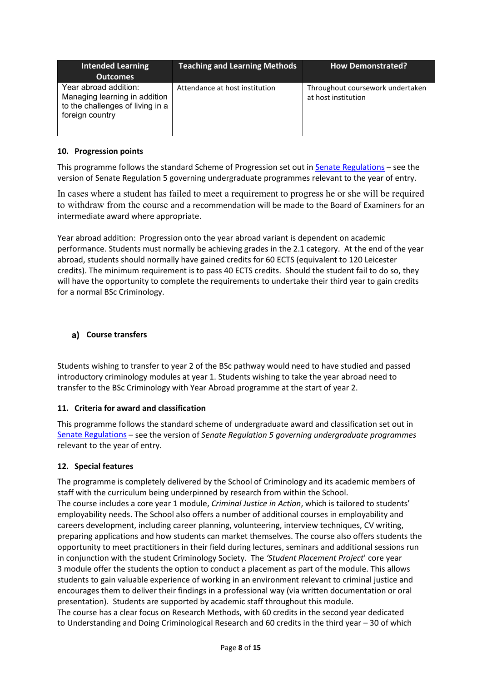| Intended Learning<br><b>Outcomes</b>                                                                          | <b>Teaching and Learning Methods</b> | <b>How Demonstrated?</b>                                |
|---------------------------------------------------------------------------------------------------------------|--------------------------------------|---------------------------------------------------------|
| Year abroad addition:<br>Managing learning in addition<br>to the challenges of living in a<br>foreign country | Attendance at host institution       | Throughout coursework undertaken<br>at host institution |

#### **10. Progression points**

This programme follows the standard Scheme of Progression set out i[n Senate Regulations](http://www.le.ac.uk/senate-regulations) – see the version of Senate Regulation 5 governing undergraduate programmes relevant to the year of entry.

In cases where a student has failed to meet a requirement to progress he or she will be required to withdraw from the course and a recommendation will be made to the Board of Examiners for an intermediate award where appropriate.

Year abroad addition: Progression onto the year abroad variant is dependent on academic performance. Students must normally be achieving grades in the 2.1 category. At the end of the year abroad, students should normally have gained credits for 60 ECTS (equivalent to 120 Leicester credits). The minimum requirement is to pass 40 ECTS credits. Should the student fail to do so, they will have the opportunity to complete the requirements to undertake their third year to gain credits for a normal BSc Criminology.

### **Course transfers**

Students wishing to transfer to year 2 of the BSc pathway would need to have studied and passed introductory criminology modules at year 1. Students wishing to take the year abroad need to transfer to the BSc Criminology with Year Abroad programme at the start of year 2.

#### **11. Criteria for award and classification**

This programme follows the standard scheme of undergraduate award and classification set out in [Senate Regulations](http://www.le.ac.uk/senate-regulations) – see the version of *Senate Regulation 5 governing undergraduate programmes* relevant to the year of entry.

#### **12. Special features**

The programme is completely delivered by the School of Criminology and its academic members of staff with the curriculum being underpinned by research from within the School. The course includes a core year 1 module, *Criminal Justice in Action*, which is tailored to students' employability needs. The School also offers a number of additional courses in employability and careers development, including career planning, volunteering, interview techniques, CV writing, preparing applications and how students can market themselves. The course also offers students the opportunity to meet practitioners in their field during lectures, seminars and additional sessions run in conjunction with the student Criminology Society. The *'Student Placement Project*' core year 3 module offer the students the option to conduct a placement as part of the module. This allows students to gain valuable experience of working in an environment relevant to criminal justice and encourages them to deliver their findings in a professional way (via written documentation or oral presentation). Students are supported by academic staff throughout this module.

The course has a clear focus on Research Methods, with 60 credits in the second year dedicated to Understanding and Doing Criminological Research and 60 credits in the third year – 30 of which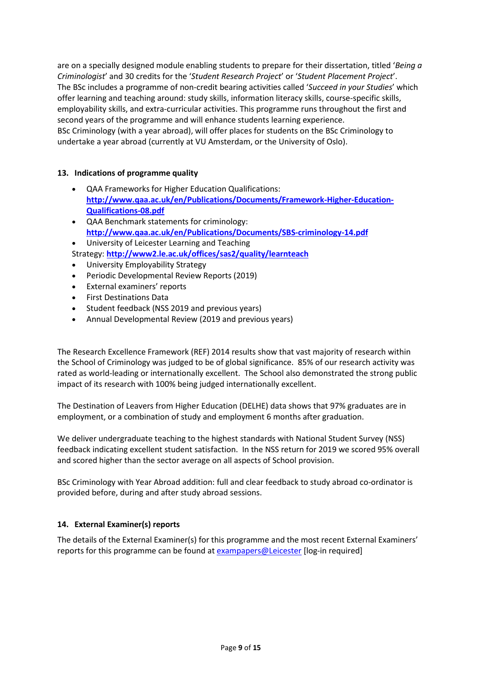are on a specially designed module enabling students to prepare for their dissertation, titled '*Being a Criminologist*' and 30 credits for the '*Student Research Project*' or '*Student Placement Project*'. The BSc includes a programme of non-credit bearing activities called '*Succeed in your Studies*' which offer learning and teaching around: study skills, information literacy skills, course-specific skills, employability skills, and extra-curricular activities. This programme runs throughout the first and second years of the programme and will enhance students learning experience. BSc Criminology (with a year abroad), will offer places for students on the BSc Criminology to undertake a year abroad (currently at VU Amsterdam, or the University of Oslo).

#### **13. Indications of programme quality**

- QAA Frameworks for Higher Education Qualifications: **[http://www.qaa.ac.uk/en/Publications/Documents/Framework-Higher-Education-](http://www.qaa.ac.uk/en/Publications/Documents/Framework-Higher-Education-Qualifications-08.pdf)[Qualifications-08.pdf](http://www.qaa.ac.uk/en/Publications/Documents/Framework-Higher-Education-Qualifications-08.pdf)**
- QAA Benchmark statements for criminology: **<http://www.qaa.ac.uk/en/Publications/Documents/SBS-criminology-14.pdf>**
- University of Leicester Learning and Teaching Strategy: **<http://www2.le.ac.uk/offices/sas2/quality/learnteach>**
- University Employability Strategy
- Periodic Developmental Review Reports (2019)
- External examiners' reports
- First Destinations Data
- Student feedback (NSS 2019 and previous years)
- Annual Developmental Review (2019 and previous years)

The Research Excellence Framework (REF) 2014 results show that vast majority of research within the School of Criminology was judged to be of global significance. 85% of our research activity was rated as world-leading or internationally excellent. The School also demonstrated the strong public impact of its research with 100% being judged internationally excellent.

The Destination of Leavers from Higher Education (DELHE) data shows that 97% graduates are in employment, or a combination of study and employment 6 months after graduation.

We deliver undergraduate teaching to the highest standards with National Student Survey (NSS) feedback indicating excellent student satisfaction. In the NSS return for 2019 we scored 95% overall and scored higher than the sector average on all aspects of School provision.

BSc Criminology with Year Abroad addition: full and clear feedback to study abroad co-ordinator is provided before, during and after study abroad sessions.

### **14. External Examiner(s) reports**

The details of the External Examiner(s) for this programme and the most recent External Examiners' reports for this programme can be found at [exampapers@Leicester](https://exampapers.le.ac.uk/) [log-in required]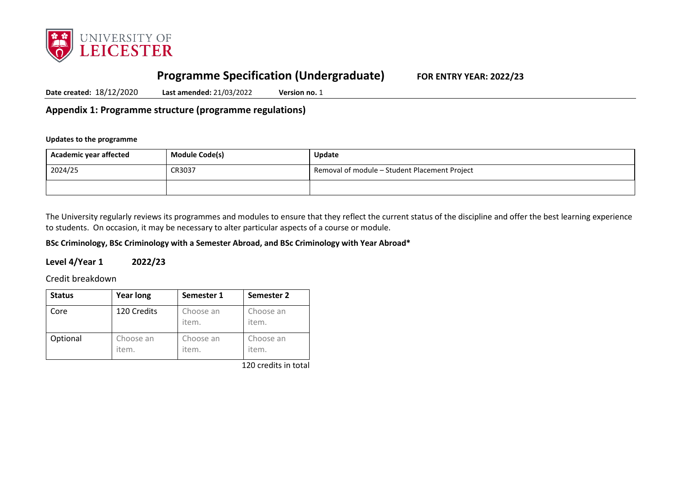

# **Programme Specification (Undergraduate) FOR ENTRY YEAR: 2022/23**

**Date created:** 18/12/2020 **Last amended:** 21/03/2022 **Version no.** 1

**Appendix 1: Programme structure (programme regulations)**

#### **Updates to the programme**

| Academic year affected | <b>Module Code(s)</b> | <b>Update</b>                                 |
|------------------------|-----------------------|-----------------------------------------------|
| 2024/25                | CR3037                | Removal of module - Student Placement Project |
|                        |                       |                                               |

The University regularly reviews its programmes and modules to ensure that they reflect the current status of the discipline and offer the best learning experience to students. On occasion, it may be necessary to alter particular aspects of a course or module.

**BSc Criminology, BSc Criminology with a Semester Abroad, and BSc Criminology with Year Abroad\***

## **Level 4/Year 1 2022/23**

Credit breakdown

| <b>Status</b> | <b>Year long</b>   | Semester 1         | Semester 2         |
|---------------|--------------------|--------------------|--------------------|
| Core          | 120 Credits        | Choose an<br>item. | Choose an<br>item. |
| Optional      | Choose an<br>item. | Choose an<br>item. | Choose an<br>item. |

120 credits in total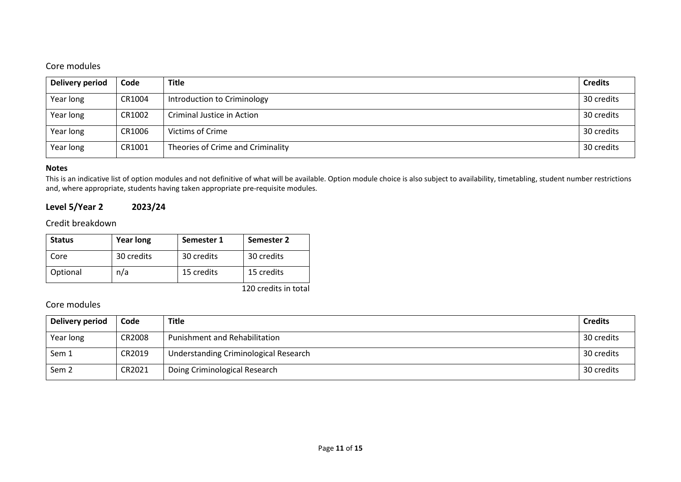## Core modules

| Delivery period | Code   | <b>Title</b>                      | <b>Credits</b> |
|-----------------|--------|-----------------------------------|----------------|
| Year long       | CR1004 | Introduction to Criminology       | 30 credits     |
| Year long       | CR1002 | Criminal Justice in Action        | 30 credits     |
| Year long       | CR1006 | Victims of Crime                  | 30 credits     |
| Year long       | CR1001 | Theories of Crime and Criminality | 30 credits     |

#### **Notes**

This is an indicative list of option modules and not definitive of what will be available. Option module choice is also subject to availability, timetabling, student number restrictions and, where appropriate, students having taken appropriate pre-requisite modules.

## **Level 5/Year 2 2023/24**

Credit breakdown

| <b>Status</b> | <b>Year long</b> | Semester 1 | Semester 2 |
|---------------|------------------|------------|------------|
| Core          | 30 credits       | 30 credits | 30 credits |
| Optional      | n/a              | 15 credits | 15 credits |

120 credits in total

## Core modules

| Delivery period | Code   | <b>Title</b>                          | <b>Credits</b> |
|-----------------|--------|---------------------------------------|----------------|
| Year long       | CR2008 | Punishment and Rehabilitation         | 30 credits     |
| Sem 1           | CR2019 | Understanding Criminological Research | 30 credits     |
| Sem 2           | CR2021 | Doing Criminological Research         | 30 credits     |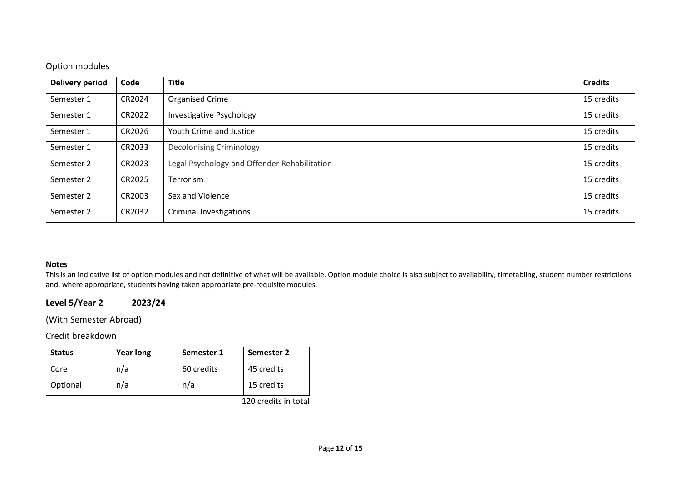## Option modules

| <b>Delivery period</b> | Code   | <b>Title</b>                                 | <b>Credits</b> |
|------------------------|--------|----------------------------------------------|----------------|
| Semester 1             | CR2024 | <b>Organised Crime</b>                       | 15 credits     |
| Semester 1             | CR2022 | Investigative Psychology                     | 15 credits     |
| Semester 1             | CR2026 | Youth Crime and Justice                      | 15 credits     |
| Semester 1             | CR2033 | <b>Decolonising Criminology</b>              | 15 credits     |
| Semester 2             | CR2023 | Legal Psychology and Offender Rehabilitation | 15 credits     |
| Semester 2             | CR2025 | Terrorism                                    | 15 credits     |
| Semester 2             | CR2003 | Sex and Violence                             | 15 credits     |
| Semester 2             | CR2032 | <b>Criminal Investigations</b>               | 15 credits     |

#### **Notes**

This is an indicative list of option modules and not definitive of what will be available. Option module choice is also subject to availability, timetabling, student number restrictions and, where appropriate, students having taken appropriate pre-requisite modules.

# **Level 5/Year 2 2023/24**

(With Semester Abroad)

Credit breakdown

| <b>Status</b> | <b>Year long</b> | Semester 1 | Semester 2 |
|---------------|------------------|------------|------------|
| Core          | n/a              | 60 credits | 45 credits |
| Optional      | n/a              | n/a        | 15 credits |

120 credits in total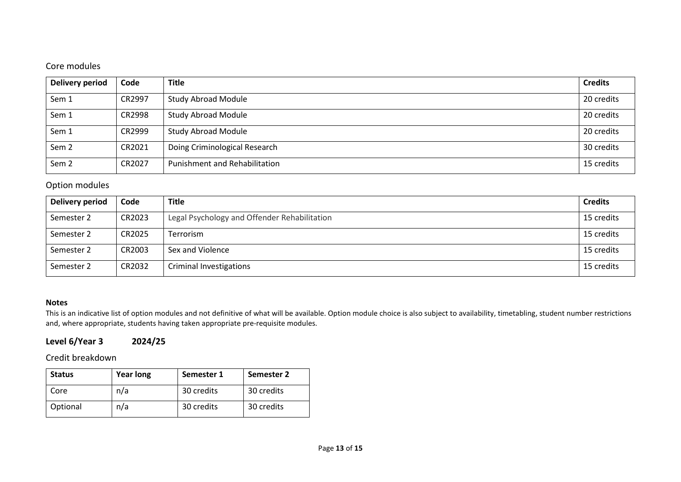# Core modules

| Delivery period  | Code   | <b>Title</b>                         | <b>Credits</b> |
|------------------|--------|--------------------------------------|----------------|
| Sem 1            | CR2997 | <b>Study Abroad Module</b>           | 20 credits     |
| Sem 1            | CR2998 | <b>Study Abroad Module</b>           | 20 credits     |
| Sem 1            | CR2999 | <b>Study Abroad Module</b>           | 20 credits     |
| Sem <sub>2</sub> | CR2021 | Doing Criminological Research        | 30 credits     |
| Sem <sub>2</sub> | CR2027 | <b>Punishment and Rehabilitation</b> | 15 credits     |

## Option modules

| Delivery period | Code   | <b>Title</b>                                 | <b>Credits</b> |
|-----------------|--------|----------------------------------------------|----------------|
| Semester 2      | CR2023 | Legal Psychology and Offender Rehabilitation | 15 credits     |
| Semester 2      | CR2025 | Terrorism                                    | 15 credits     |
| Semester 2      | CR2003 | Sex and Violence                             | 15 credits     |
| Semester 2      | CR2032 | Criminal Investigations                      | 15 credits     |

### **Notes**

This is an indicative list of option modules and not definitive of what will be available. Option module choice is also subject to availability, timetabling, student number restrictions and, where appropriate, students having taken appropriate pre-requisite modules.

# **Level 6/Year 3 2024/25**

Credit breakdown

| <b>Status</b> | <b>Year long</b> | Semester 1 | Semester 2 |
|---------------|------------------|------------|------------|
| Core          | n/a              | 30 credits | 30 credits |
| Optional      | n/a              | 30 credits | 30 credits |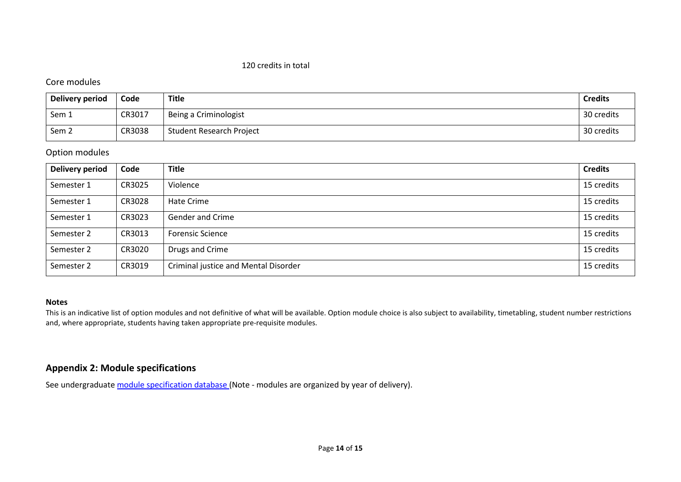#### 120 credits in total

## Core modules

| <b>Delivery period</b> | Code   | Title                    | <b>Credits</b> |
|------------------------|--------|--------------------------|----------------|
| Sem 1                  | CR3017 | Being a Criminologist    | 30 credits     |
| Sem <sub>2</sub>       | CR3038 | Student Research Project | 30 credits     |

## Option modules

| <b>Delivery period</b> | Code   | <b>Title</b>                         | <b>Credits</b> |
|------------------------|--------|--------------------------------------|----------------|
| Semester 1             | CR3025 | Violence                             | 15 credits     |
| Semester 1             | CR3028 | Hate Crime                           | 15 credits     |
| Semester 1             | CR3023 | <b>Gender and Crime</b>              | 15 credits     |
| Semester 2             | CR3013 | <b>Forensic Science</b>              | 15 credits     |
| Semester 2             | CR3020 | Drugs and Crime                      | 15 credits     |
| Semester 2             | CR3019 | Criminal justice and Mental Disorder | 15 credits     |

#### **Notes**

This is an indicative list of option modules and not definitive of what will be available. Option module choice is also subject to availability, timetabling, student number restrictions and, where appropriate, students having taken appropriate pre-requisite modules.

## **Appendix 2: Module specifications**

See undergraduat[e module specification database](http://www.le.ac.uk/sas/courses/documentation) (Note - modules are organized by year of delivery).